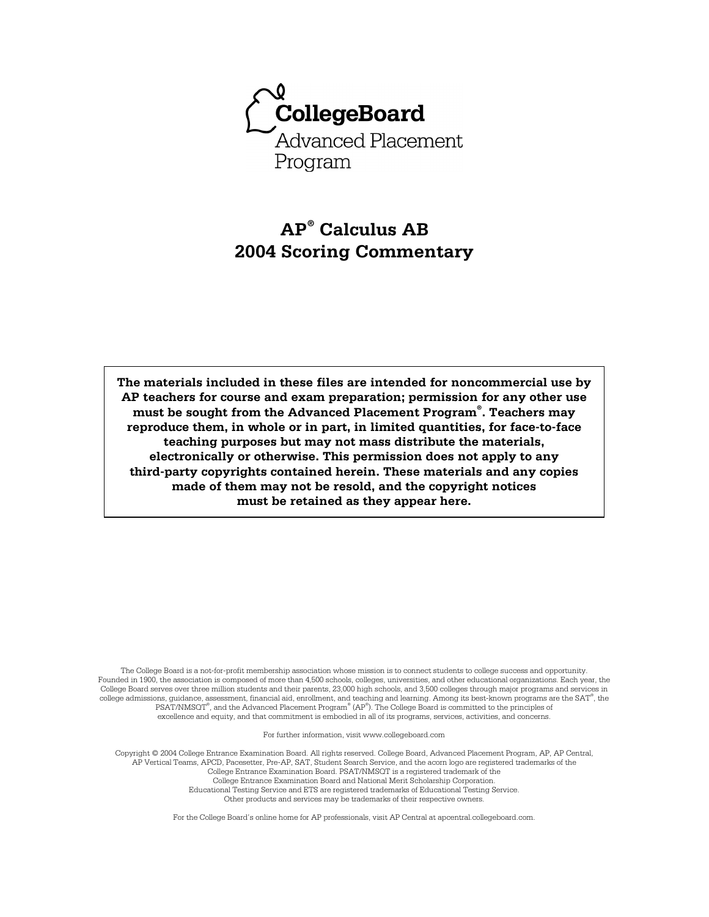

# **AP® Calculus AB 2004 Scoring Commentary**

**The materials included in these files are intended for noncommercial use by AP teachers for course and exam preparation; permission for any other use must be sought from the Advanced Placement Program® . Teachers may reproduce them, in whole or in part, in limited quantities, for face-to-face teaching purposes but may not mass distribute the materials, electronically or otherwise. This permission does not apply to any third-party copyrights contained herein. These materials and any copies made of them may not be resold, and the copyright notices must be retained as they appear here.** 

The College Board is a not-for-profit membership association whose mission is to connect students to college success and opportunity. Founded in 1900, the association is composed of more than 4,500 schools, colleges, universities, and other educational organizations. Each year, the College Board serves over three million students and their parents, 23,000 high schools, and 3,500 colleges through major programs and services in college admissions, guidance, assessment, financial aid, enrollment, and teaching and learning. Among its best-known programs are the SAT® , the PSAT/NMSOT®, and the Advanced Placement Program® (AP®). The College Board is committed to the principles of excellence and equity, and that commitment is embodied in all of its programs, services, activities, and concerns.

For further information, visit www.collegeboard.com

Copyright © 2004 College Entrance Examination Board. All rights reserved. College Board, Advanced Placement Program, AP, AP Central, AP Vertical Teams, APCD, Pacesetter, Pre-AP, SAT, Student Search Service, and the acorn logo are registered trademarks of the College Entrance Examination Board. PSAT/NMSQT is a registered trademark of the College Entrance Examination Board and National Merit Scholarship Corporation.

Educational Testing Service and ETS are registered trademarks of Educational Testing Service. Other products and services may be trademarks of their respective owners.

For the College Board's online home for AP professionals, visit AP Central at apcentral.collegeboard.com.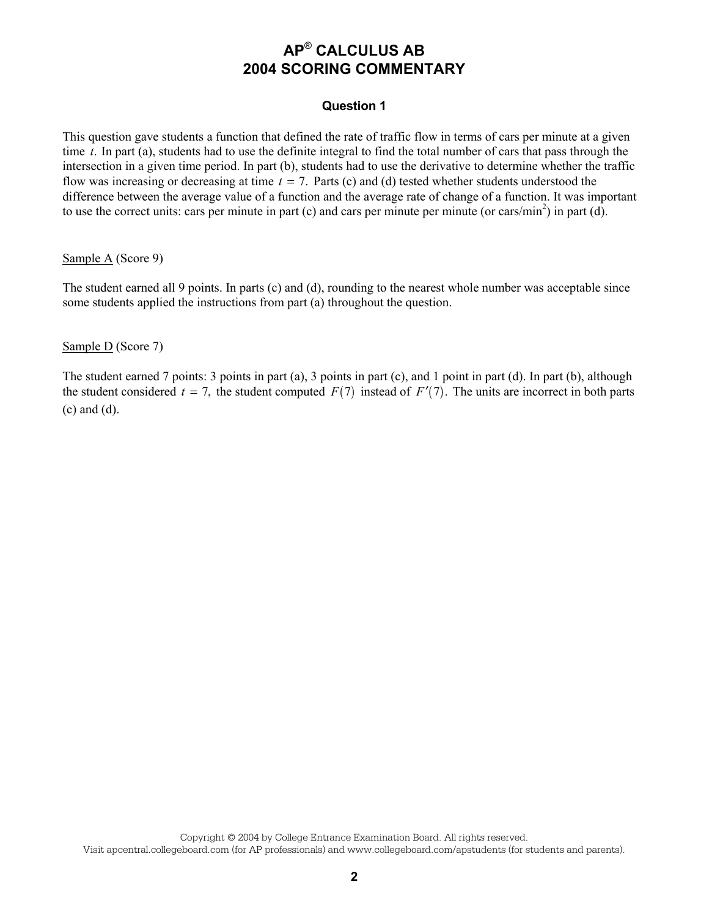### **Question 1**

This question gave students a function that defined the rate of traffic flow in terms of cars per minute at a given time *t*. In part (a), students had to use the definite integral to find the total number of cars that pass through the intersection in a given time period. In part (b), students had to use the derivative to determine whether the traffic flow was increasing or decreasing at time  $t = 7$ . Parts (c) and (d) tested whether students understood the difference between the average value of a function and the average rate of change of a function. It was important to use the correct units: cars per minute in part (c) and cars per minute per minute (or cars/min<sup>2</sup>) in part (d).

#### Sample A (Score 9)

The student earned all 9 points. In parts (c) and (d), rounding to the nearest whole number was acceptable since some students applied the instructions from part (a) throughout the question.

### Sample D (Score 7)

The student earned 7 points: 3 points in part (a), 3 points in part (c), and 1 point in part (d). In part (b), although the student considered  $t = 7$ , the student computed  $F(7)$  instead of  $F'(7)$ . The units are incorrect in both parts (c) and (d).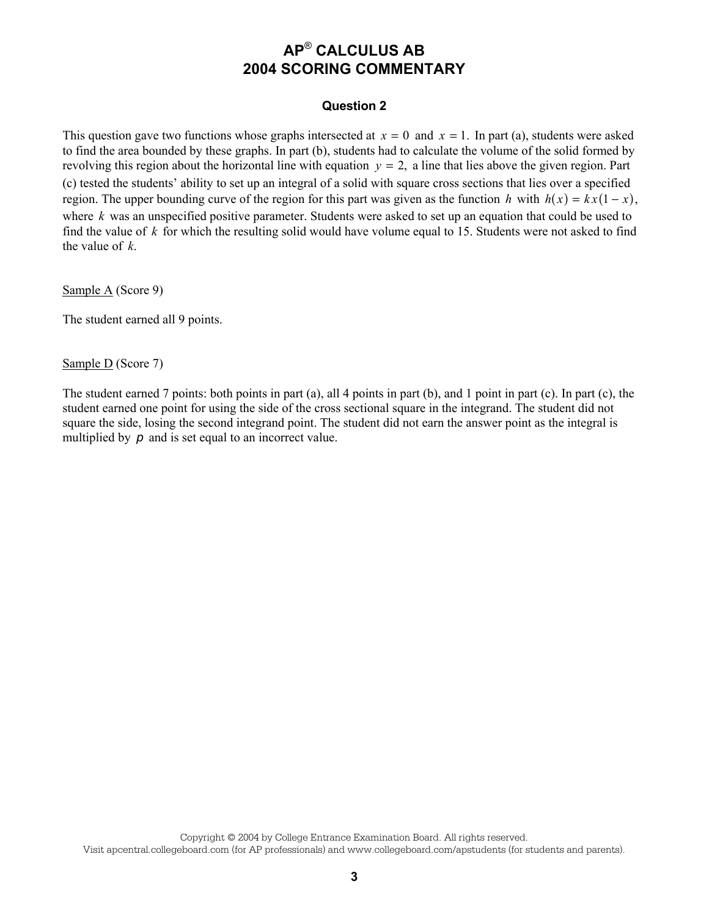#### **Question 2**

This question gave two functions whose graphs intersected at  $x = 0$  and  $x = 1$ . In part (a), students were asked to find the area bounded by these graphs. In part (b), students had to calculate the volume of the solid formed by revolving this region about the horizontal line with equation  $y = 2$ , a line that lies above the given region. Part (c) tested the students' ability to set up an integral of a solid with square cross sections that lies over a specified region. The upper bounding curve of the region for this part was given as the function *h* with  $h(x) = kx(1-x)$ , where *k* was an unspecified positive parameter. Students were asked to set up an equation that could be used to find the value of *k* for which the resulting solid would have volume equal to 15. Students were not asked to find the value of *k*.

Sample A (Score 9)

The student earned all 9 points.

Sample D (Score 7)

The student earned 7 points: both points in part (a), all 4 points in part (b), and 1 point in part (c). In part (c), the student earned one point for using the side of the cross sectional square in the integrand. The student did not square the side, losing the second integrand point. The student did not earn the answer point as the integral is multiplied by **p** and is set equal to an incorrect value.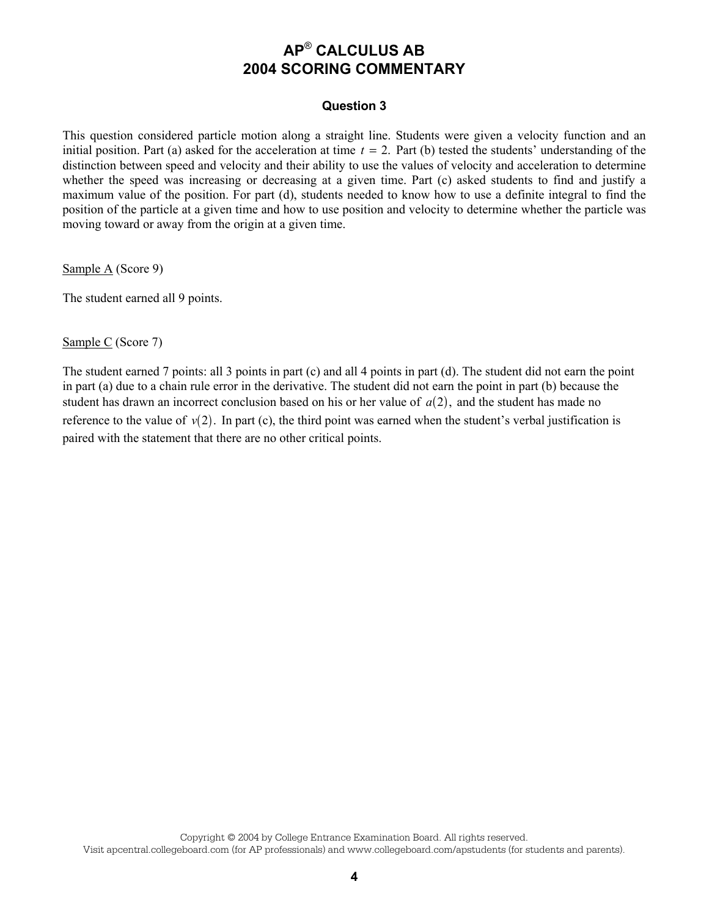#### **Question 3**

This question considered particle motion along a straight line. Students were given a velocity function and an initial position. Part (a) asked for the acceleration at time  $t = 2$ . Part (b) tested the students' understanding of the distinction between speed and velocity and their ability to use the values of velocity and acceleration to determine whether the speed was increasing or decreasing at a given time. Part (c) asked students to find and justify a maximum value of the position. For part (d), students needed to know how to use a definite integral to find the position of the particle at a given time and how to use position and velocity to determine whether the particle was moving toward or away from the origin at a given time.

Sample A (Score 9)

The student earned all 9 points.

Sample C (Score 7)

The student earned 7 points: all 3 points in part (c) and all 4 points in part (d). The student did not earn the point in part (a) due to a chain rule error in the derivative. The student did not earn the point in part (b) because the student has drawn an incorrect conclusion based on his or her value of  $a(2)$ , and the student has made no reference to the value of  $v(2)$ . In part (c), the third point was earned when the student's verbal justification is paired with the statement that there are no other critical points.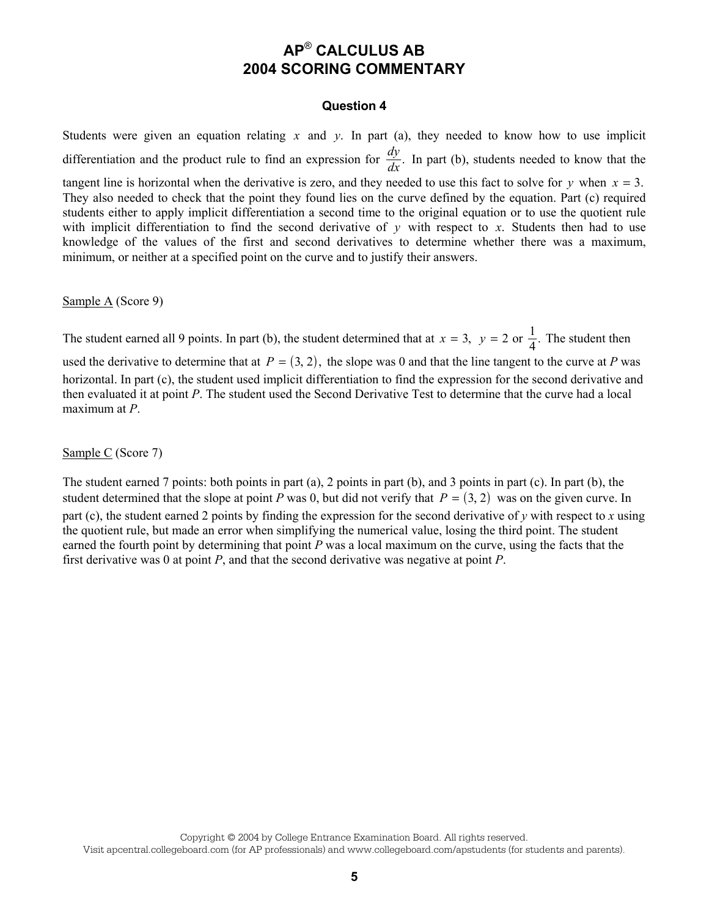#### **Question 4**

Students were given an equation relating *x* and *y*. In part (a), they needed to know how to use implicit differentiation and the product rule to find an expression for  $\frac{dy}{dx}$ . In part (b), students needed to know that the tangent line is horizontal when the derivative is zero, and they needed to use this fact to solve for  $y$  when  $x = 3$ . They also needed to check that the point they found lies on the curve defined by the equation. Part (c) required students either to apply implicit differentiation a second time to the original equation or to use the quotient rule with implicit differentiation to find the second derivative of  $y$  with respect to  $x$ . Students then had to use knowledge of the values of the first and second derivatives to determine whether there was a maximum, minimum, or neither at a specified point on the curve and to justify their answers.

Sample A (Score 9)

The student earned all 9 points. In part (b), the student determined that at  $x = 3$ ,  $y = 2$  or  $\frac{1}{4}$ . The student then

used the derivative to determine that at  $P = (3, 2)$ , the slope was 0 and that the line tangent to the curve at *P* was horizontal. In part (c), the student used implicit differentiation to find the expression for the second derivative and then evaluated it at point *P*. The student used the Second Derivative Test to determine that the curve had a local maximum at *P*.

Sample C (Score 7)

The student earned 7 points: both points in part (a), 2 points in part (b), and 3 points in part (c). In part (b), the student determined that the slope at point *P* was 0, but did not verify that  $P = (3, 2)$  was on the given curve. In part (c), the student earned 2 points by finding the expression for the second derivative of *y* with respect to *x* using the quotient rule, but made an error when simplifying the numerical value, losing the third point. The student earned the fourth point by determining that point *P* was a local maximum on the curve, using the facts that the first derivative was 0 at point *P*, and that the second derivative was negative at point *P*.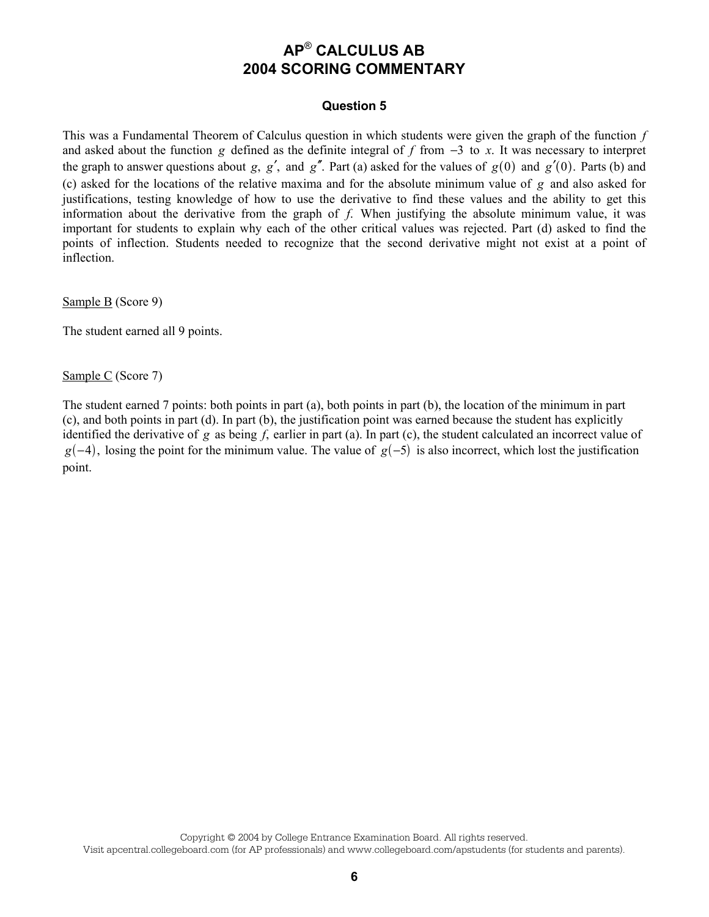#### **Question 5**

This was a Fundamental Theorem of Calculus question in which students were given the graph of the function *f* and asked about the function *g* defined as the definite integral of *f* from  $-3$  to *x*. It was necessary to interpret the graph to answer questions about *g*,  $g'$ , and  $g''$ . Part (a) asked for the values of  $g(0)$  and  $g'(0)$ . Parts (b) and (c) asked for the locations of the relative maxima and for the absolute minimum value of *g* and also asked for justifications, testing knowledge of how to use the derivative to find these values and the ability to get this information about the derivative from the graph of *f*. When justifying the absolute minimum value, it was important for students to explain why each of the other critical values was rejected. Part (d) asked to find the points of inflection. Students needed to recognize that the second derivative might not exist at a point of inflection.

Sample B (Score 9)

The student earned all 9 points.

Sample C (Score 7)

The student earned 7 points: both points in part (a), both points in part (b), the location of the minimum in part (c), and both points in part (d). In part (b), the justification point was earned because the student has explicitly identified the derivative of *g* as being *f*, earlier in part (a). In part (c), the student calculated an incorrect value of  $g(-4)$ , losing the point for the minimum value. The value of  $g(-5)$  is also incorrect, which lost the justification point.